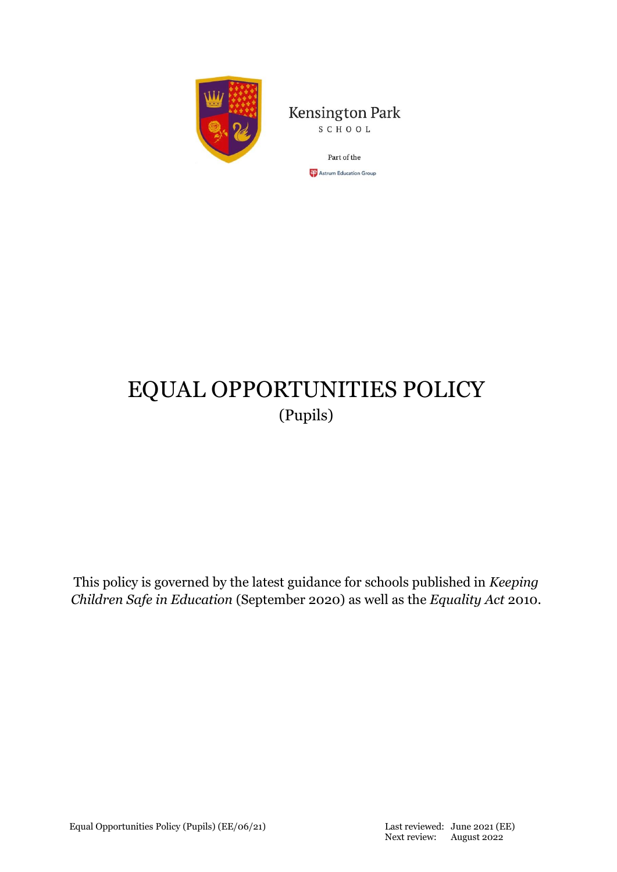

**Kensington Park** SCHOOL

> Part of the **CP** Astrum Education Group

# EQUAL OPPORTUNITIES POLICY (Pupils)

This policy is governed by the latest guidance for schools published in *Keeping Children Safe in Education* (September 2020) as well as the *Equality Act* 2010.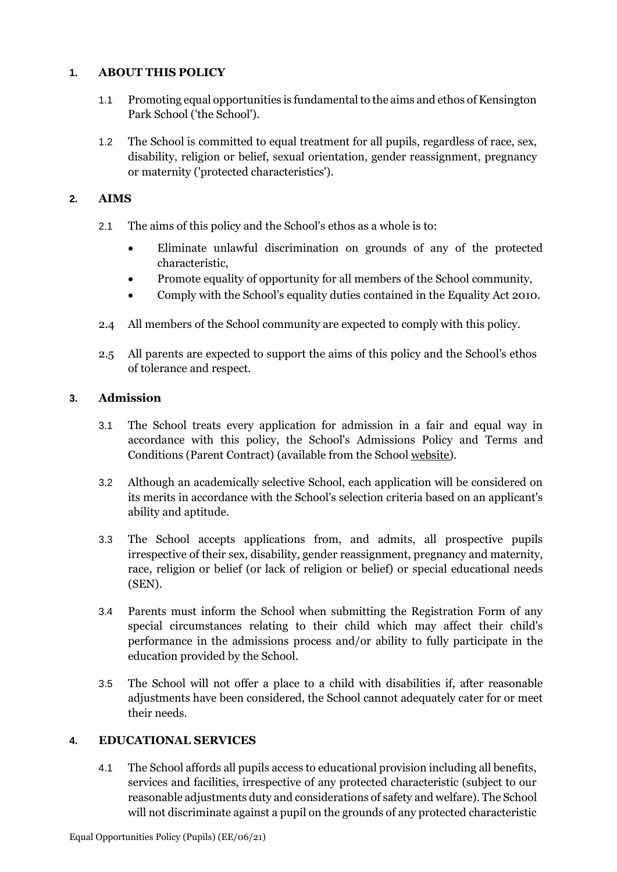## **1. ABOUT THIS POLICY**

- 1.1 Promoting equal opportunities is fundamental to the aims and ethos of Kensington Park School ('the School').
- 1.2 The School is committed to equal treatment for all pupils, regardless of race, sex, disability, religion or belief, sexual orientation, gender reassignment, pregnancy or maternity ('protected characteristics').

## **2. AIMS**

- 2.1 The aims of this policy and the School's ethos as a whole is to:
	- Eliminate unlawful discrimination on grounds of any of the protected characteristic,
	- Promote equality of opportunity for all members of the School community,
	- Comply with the School's equality duties contained in the Equality Act 2010.
- 2.4 All members of the School community are expected to comply with this policy.
- 2.5 All parents are expected to support the aims of this policy and the School's ethos of tolerance and respect.

## **3. Admission**

- 3.1 The School treats every application for admission in a fair and equal way in accordance with this policy, the School's Admissions Policy and Terms and Conditions (Parent Contract) (available from the School [website\)](https://www.kps.co.uk/policies-and-inspections).
- 3.2 Although an academically selective School, each application will be considered on its merits in accordance with the School's selection criteria based on an applicant's ability and aptitude.
- 3.3 The School accepts applications from, and admits, all prospective pupils irrespective of their sex, disability, gender reassignment, pregnancy and maternity, race, religion or belief (or lack of religion or belief) or special educational needs (SEN).
- 3.4 Parents must inform the School when submitting the Registration Form of any special circumstances relating to their child which may affect their child's performance in the admissions process and/or ability to fully participate in the education provided by the School.
- 3.5 The School will not offer a place to a child with disabilities if, after reasonable adjustments have been considered, the School cannot adequately cater for or meet their needs.

## **4. EDUCATIONAL SERVICES**

4.1 The School affords all pupils access to educational provision including all benefits, services and facilities, irrespective of any protected characteristic (subject to our reasonable adjustments duty and considerations of safety and welfare). The School will not discriminate against a pupil on the grounds of any protected characteristic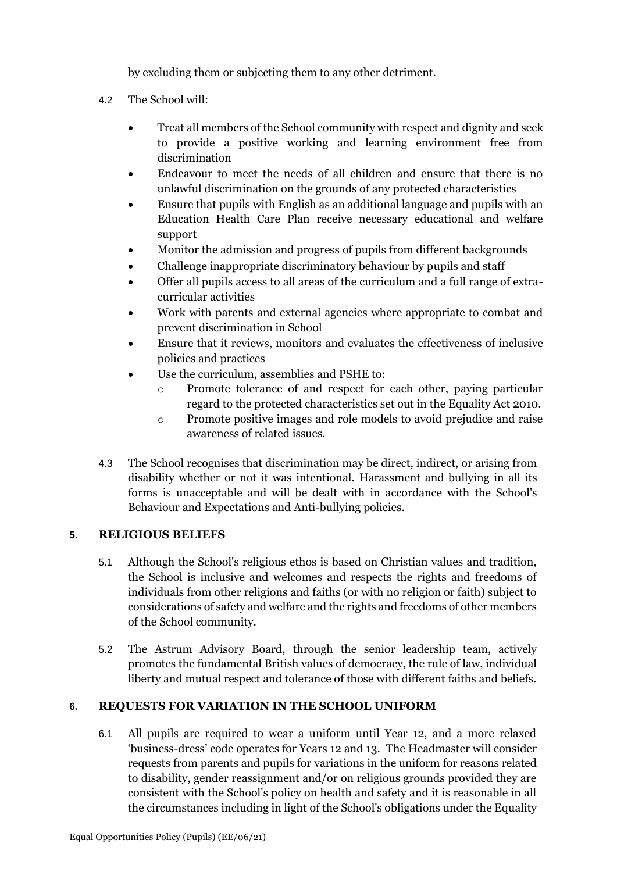by excluding them or subjecting them to any other detriment.

- 4.2 The School will:
	- Treat all members of the School community with respect and dignity and seek to provide a positive working and learning environment free from discrimination
	- Endeavour to meet the needs of all children and ensure that there is no unlawful discrimination on the grounds of any protected characteristics
	- Ensure that pupils with English as an additional language and pupils with an Education Health Care Plan receive necessary educational and welfare support
	- Monitor the admission and progress of pupils from different backgrounds
	- Challenge inappropriate discriminatory behaviour by pupils and staff
	- Offer all pupils access to all areas of the curriculum and a full range of extracurricular activities
	- Work with parents and external agencies where appropriate to combat and prevent discrimination in School
	- Ensure that it reviews, monitors and evaluates the effectiveness of inclusive policies and practices
	- Use the curriculum, assemblies and PSHE to:
		- o Promote tolerance of and respect for each other, paying particular regard to the protected characteristics set out in the Equality Act 2010.
		- o Promote positive images and role models to avoid prejudice and raise awareness of related issues.
- 4.3 The School recognises that discrimination may be direct, indirect, or arising from disability whether or not it was intentional. Harassment and bullying in all its forms is unacceptable and will be dealt with in accordance with the School's Behaviour and Expectations and Anti-bullying policies.

# **5. RELIGIOUS BELIEFS**

- 5.1 Although the School's religious ethos is based on Christian values and tradition, the School is inclusive and welcomes and respects the rights and freedoms of individuals from other religions and faiths (or with no religion or faith) subject to considerations of safety and welfare and the rights and freedoms of other members of the School community.
- 5.2 The Astrum Advisory Board, through the senior leadership team, actively promotes the fundamental British values of democracy, the rule of law, individual liberty and mutual respect and tolerance of those with different faiths and beliefs.

# **6. REQUESTS FOR VARIATION IN THE SCHOOL UNIFORM**

6.1 All pupils are required to wear a uniform until Year 12, and a more relaxed 'business-dress' code operates for Years 12 and 13. The Headmaster will consider requests from parents and pupils for variations in the uniform for reasons related to disability, gender reassignment and/or on religious grounds provided they are consistent with the School's policy on health and safety and it is reasonable in all the circumstances including in light of the School's obligations under the Equality